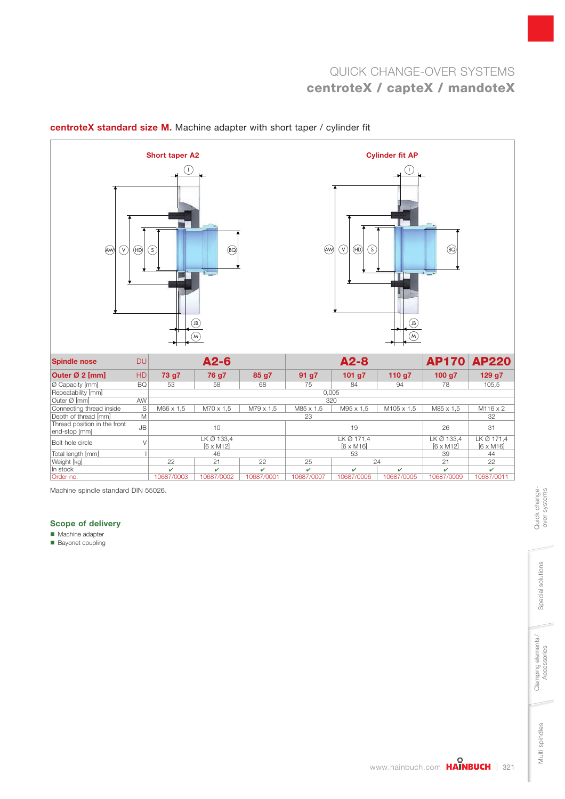

#### centroteX standard size M. Machine adapter with short taper / cylinder fit

Machine spindle standard DIN 55026.

#### Scope of delivery

**Machine adapter** 

Bayonet coupling

Multi spindles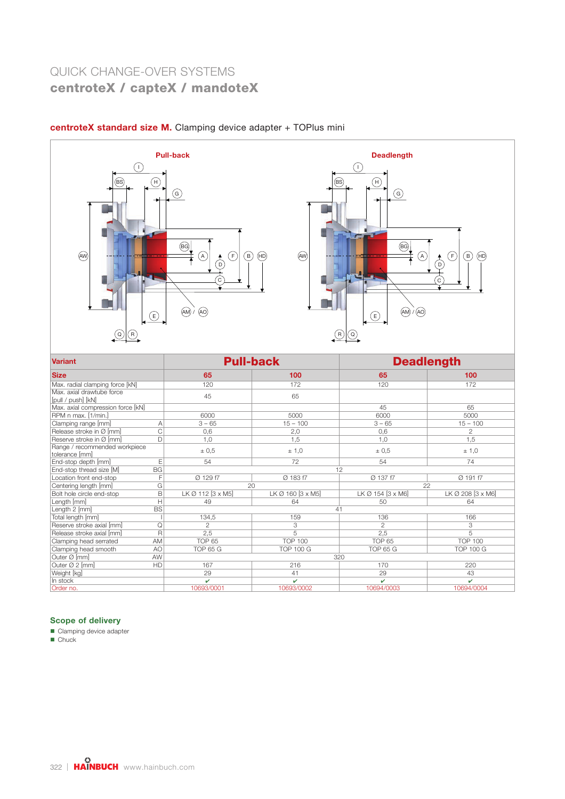

### centroteX standard size M. Clamping device adapter + TOPlus mini



| <b>Variant</b>                                  |                   | <b>Pull-back</b>  | <b>Deadlength</b> |                   |  |
|-------------------------------------------------|-------------------|-------------------|-------------------|-------------------|--|
| <b>Size</b>                                     | 65                | 100<br>65         |                   | 100               |  |
| Max. radial clamping force [kN]                 | 120               | 172               | 120               | 172               |  |
| Max. axial drawtube force<br>[pull / push] [kN] | 45                | 65                |                   |                   |  |
| Max. axial compression force [kN]               |                   |                   | 45                | 65                |  |
| RPM n max. [1/min.]                             | 6000              | 5000              | 6000              | 5000              |  |
| Clamping range [mm]<br>A                        | $3 - 65$          | $15 - 100$        | $3 - 65$          | $15 - 100$        |  |
| C<br>Release stroke in Ø [mm]                   | 0,6               | 2,0               | 0,6               | $\mathfrak{D}$    |  |
| D<br>Reserve stroke in Ø [mm]                   | 1,0               | 1.5               | 1,0               | 1,5               |  |
| Range / recommended workpiece<br>tolerance [mm] | ± 0,5             | ± 1,0             | ± 0.5             | ± 1,0             |  |
| E<br>End-stop depth [mm]                        | 54                | 72                | 54                | 74                |  |
| <b>BG</b><br>End-stop thread size [M]           |                   |                   | 12                |                   |  |
| Location front end-stop<br>F                    | Ø 129 f7          | Ø 183 f7          | Ø 137 f7          | Ø 191 f7          |  |
| G<br>Centering length [mm]                      |                   | 20                |                   | 22                |  |
| B<br>Bolt hole circle end-stop                  | LK Ø 112 [3 x M5] | LK Ø 160 [3 x M5] | LK Ø 154 [3 x M6] | LK Ø 208 [3 x M6] |  |
| Н<br>Length [mm]                                | 49                | 64                | 50                | 64                |  |
| <b>BS</b><br>Length 2 [mm]                      |                   |                   | 41                |                   |  |
| Total length [mm]                               | 134,5             | 159               | 136               | 166               |  |
| Reserve stroke axial [mm]<br>Q                  | $\overline{c}$    | 3                 | 2                 | 3                 |  |
| R<br>Release stroke axial [mm]                  | 2,5               | 5                 | 2,5               | 5                 |  |
| Clamping head serrated<br>AM                    | <b>TOP 65</b>     | <b>TOP 100</b>    | TOP <sub>65</sub> | <b>TOP 100</b>    |  |
| Clamping head smooth<br>A <sub>O</sub>          | <b>TOP 65 G</b>   | <b>TOP 100 G</b>  | <b>TOP 65 G</b>   | <b>TOP 100 G</b>  |  |
| Outer Ø [mm]<br>AW                              |                   |                   | 320               |                   |  |
| HD<br>Outer Ø 2 [mm]                            | 167               | 216               | 170               | 220               |  |
| Weight [kg]                                     | 29                | 41                | 29                | 43                |  |
| In stock                                        | v                 | $\mathbf{v}$      | v                 | v                 |  |
| Order no.                                       | 10693/0001        | 10693/0002        | 10694/0003        | 10694/0004        |  |

#### Scope of delivery

Clamping device adapter

Chuck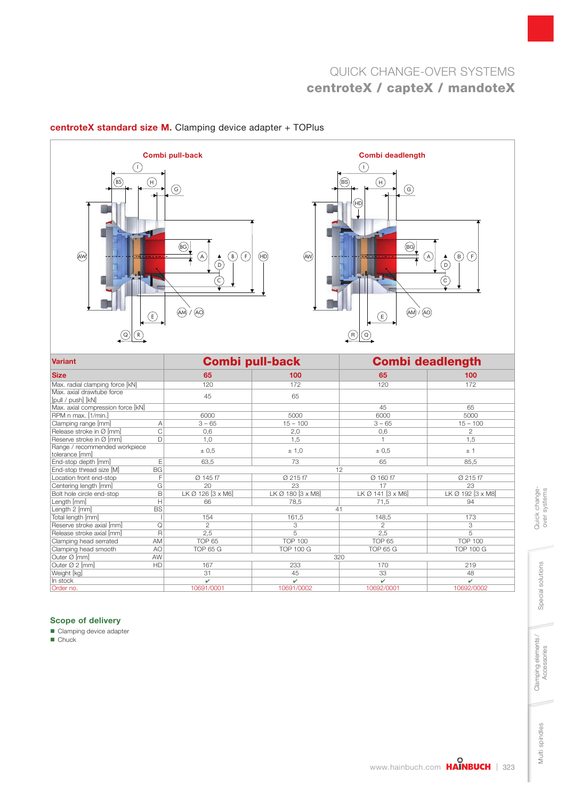





| <b>Variant</b>                                  |                   | <b>Combi pull-back</b> | <b>Combi deadlength</b> |                   |  |
|-------------------------------------------------|-------------------|------------------------|-------------------------|-------------------|--|
| <b>Size</b>                                     | 65                | 100                    | 65                      | 100               |  |
| Max. radial clamping force [kN]                 | 120               | 172                    | 120                     | 172               |  |
| Max. axial drawtube force<br>[pull / push] [kN] | 45                | 65                     |                         |                   |  |
| Max. axial compression force [kN]               |                   |                        | 45                      | 65                |  |
| RPM n max. [1/min.]                             | 6000              | 5000                   | 6000                    | 5000              |  |
| Clamping range [mm]<br>Α                        | $3 - 65$          | $15 - 100$             | $3 - 65$                | $15 - 100$        |  |
| C<br>Release stroke in Ø [mm]                   | 0,6               | 2,0                    | 0,6                     | $\mathbf{2}$      |  |
| Reserve stroke in Ø [mm]<br>$\Box$              | 1,0               | 1.5                    |                         | 1,5               |  |
| Range / recommended workpiece<br>tolerance [mm] | ± 0.5             | ± 1,0                  | ± 0.5                   | ±1                |  |
| End-stop depth [mm]<br>E                        | 63.5              | 73                     | 65                      | 85.5              |  |
| <b>BG</b><br>End-stop thread size [M]           |                   |                        | 12                      |                   |  |
| Location front end-stop<br>F                    | Ø 145 f7          | Ø 215 f7               | Ø 160 f7                | Ø 215 f7          |  |
| G<br>Centering length [mm]                      | 20                | 23                     | 17                      | 23                |  |
| B<br>Bolt hole circle end-stop                  | LK Ø 126 [3 x M6] | LK Ø 180 [3 x M8]      | LK Ø 141 [3 x M6]       | LK Ø 192 [3 x M8] |  |
| Н<br>Length [mm]                                | 66                | 78.5                   | 71,5                    | 94                |  |
| <b>BS</b><br>Length 2 [mm]                      |                   |                        | 41                      |                   |  |
| Total length [mm]                               | 154               | 161,5                  | 148,5                   | 173               |  |
| Reserve stroke axial [mm]<br>Q                  | $\overline{c}$    | 3                      | $\overline{c}$          | 3                 |  |
| $\mathsf{R}$<br>Release stroke axial [mm]       | 2,5               | 5                      | 2,5                     | 5                 |  |
| Clamping head serrated<br>AM                    | <b>TOP 65</b>     | <b>TOP 100</b>         | <b>TOP 65</b>           | <b>TOP 100</b>    |  |
| Clamping head smooth<br>A <sub>O</sub>          | <b>TOP 65 G</b>   | <b>TOP 100 G</b>       | <b>TOP 65 G</b>         | <b>TOP 100 G</b>  |  |
| Outer Ø [mm]<br>AW                              |                   |                        | 320                     |                   |  |
| Outer Ø 2 [mm]<br>HD                            | 167               | 233                    | 170                     | 219               |  |
| Weight [kg]                                     | 31                | 45                     | 33                      | 48                |  |
| In stock                                        | v                 | v                      | v                       | v                 |  |
| Order no.                                       | 10691/0001        | 10691/0002             | 10692/0001              | 10692/0002        |  |

### Scope of delivery

Clamping device adapter

Chuck

Multi spindles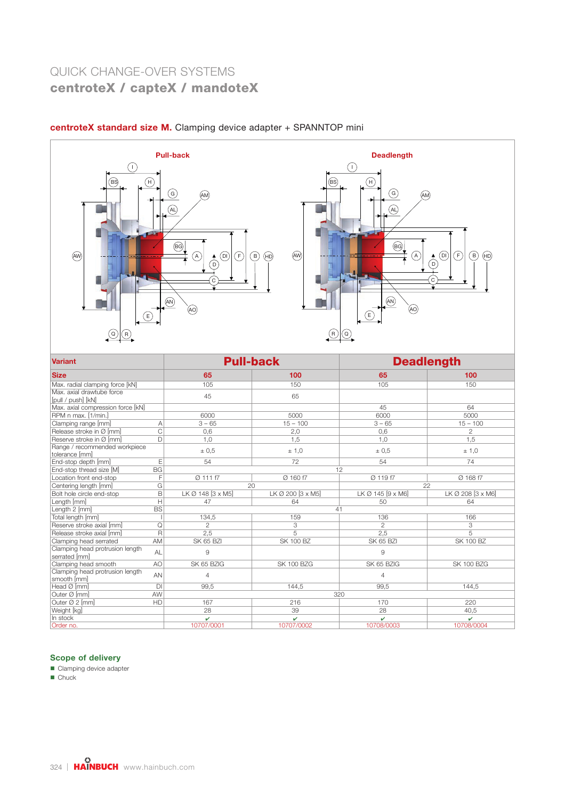

### centroteX standard size M. Clamping device adapter + SPANNTOP mini

| <b>Variant</b>                                   |                |                   | <b>Pull-back</b>  | <b>Deadlength</b> |                   |  |
|--------------------------------------------------|----------------|-------------------|-------------------|-------------------|-------------------|--|
| <b>Size</b>                                      |                | 65                | 100               | 65                | 100               |  |
| Max. radial clamping force [kN]                  |                | 105               | 150               | 105               | 150               |  |
| Max. axial drawtube force<br>[pull / push] [kN]  |                | 45                | 65                |                   |                   |  |
| Max. axial compression force [kN]                |                |                   |                   | 45                | 64                |  |
| RPM n max. [1/min.]                              |                | 6000              | 5000              | 6000              | 5000              |  |
| Clamping range [mm]                              | $\overline{A}$ | $3 - 65$          | $15 - 100$        | $3 - 65$          | $15 - 100$        |  |
| Release stroke in Ø [mm]                         | C              | 0.6               | 2,0               | 0,6               | $\overline{2}$    |  |
| Reserve stroke in Ø [mm]                         | D              | 1,0               | 1,5               | 1,0               | 1,5               |  |
| Range / recommended workpiece<br>tolerance [mm]  |                | ± 0.5             | ± 1,0             | ± 0.5             | ± 1,0             |  |
| End-stop depth [mm]                              | E              | 54                | 72                | 54                | 74                |  |
| End-stop thread size [M]                         | <b>BG</b>      |                   | 12                |                   |                   |  |
| Location front end-stop                          | F              | Ø 111 f7          | Ø 160 f7          | Ø 119 f7          | Ø 168 f7          |  |
| Centering length [mm]                            | G              | 20                |                   | 22                |                   |  |
| Bolt hole circle end-stop                        | B              | LK Ø 148 [3 x M5] | LK Ø 200 [3 x M5] | LK Ø 145 [9 x M6] | LK Ø 208 [3 x M6] |  |
| Length [mm]                                      | H              | 47                | 64                | 50                | 64                |  |
| Length 2 [mm]                                    | <b>BS</b>      |                   | 41                |                   |                   |  |
| Total length [mm]                                |                | 134.5             | 159               | 136               | 166               |  |
| Reserve stroke axial [mm]                        | Q              | $\mathfrak{p}$    | 3                 | 2                 | 3                 |  |
| Release stroke axial [mm]                        | R              | 2.5               | 5                 | 2,5               | 5                 |  |
| Clamping head serrated                           | AM             | <b>SK 65 BZI</b>  | <b>SK 100 BZ</b>  | <b>SK 65 BZI</b>  | <b>SK 100 BZ</b>  |  |
| Clamping head protrusion length<br>serrated [mm] | AL             | 9                 |                   | 9                 |                   |  |
| Clamping head smooth                             | A <sub>O</sub> | SK 65 BZIG        | <b>SK 100 BZG</b> | SK 65 BZIG        | <b>SK 100 BZG</b> |  |
| Clamping head protrusion length<br>smooth [mm]   | AN             | $\overline{4}$    |                   | $\overline{4}$    |                   |  |
| Head Ø [mm]                                      | DI             | 99.5              | 144.5             | 99.5              | 144.5             |  |
| Outer Ø [mm]                                     | AW             |                   | 320               |                   |                   |  |
| Outer Ø 2 [mm]                                   | HD             | 167               | 216               | 170               | 220               |  |
| Weight [kg]                                      |                | 28                | 39                | 28                | 40,5              |  |
| In stock                                         |                | v                 | v                 | v                 | v                 |  |
| Order no.                                        |                | 10707/0001        | 10707/0002        | 10708/0003        | 10708/0004        |  |

#### Scope of delivery

Clamping device adapter

■ Chuck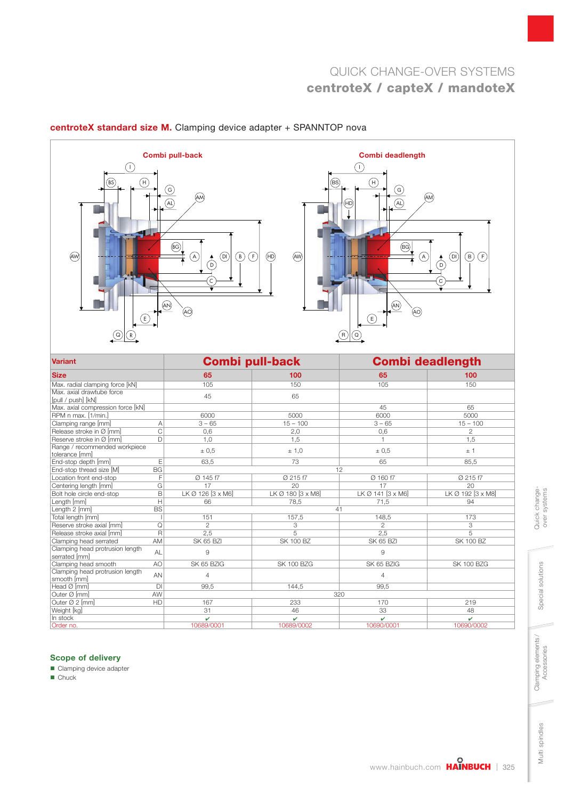

#### centroteX standard size M. Clamping device adapter + SPANNTOP nova

| <b>Variant</b>                                   |              |                   | <b>Combi pull-back</b> | <b>Combi deadlength</b> |                   |  |
|--------------------------------------------------|--------------|-------------------|------------------------|-------------------------|-------------------|--|
| <b>Size</b>                                      |              | 65                | 100                    | 65                      | 100               |  |
| Max. radial clamping force [kN]                  |              | 105               | 150                    | 105                     | 150               |  |
| Max. axial drawtube force<br>[pull / push] [kN]  |              | 45                | 65                     |                         |                   |  |
| Max. axial compression force [kN]                |              |                   |                        | 45                      | 65                |  |
| RPM n max. [1/min.]                              |              | 6000              | 5000                   | 6000                    | 5000              |  |
| Clamping range [mm]                              | Α            | $3 - 65$          | $15 - 100$             | $3 - 65$                | $15 - 100$        |  |
| Release stroke in Ø [mm]                         | $\mathsf{C}$ | 0,6               | 2,0                    | 0,6                     | $\mathbf{2}$      |  |
| Reserve stroke in Ø [mm]                         | $\Box$       | 1,0               | 1.5                    |                         | 1,5               |  |
| Range / recommended workpiece<br>tolerance [mm]  |              | ± 0.5             | ± 1,0                  | ± 0.5                   | ±1                |  |
| End-stop depth [mm]                              | E            | 63,5              | 73                     | 65                      | 85,5              |  |
| End-stop thread size [M]                         | <b>BG</b>    |                   |                        | 12                      |                   |  |
| Location front end-stop                          | F            | Ø 145 f7          | Ø 215 f7               | Ø 160 f7                | Ø 215 f7          |  |
| Centering length [mm]                            | G            | 17                | 20                     | 17                      | 20                |  |
| Bolt hole circle end-stop                        | B            | LK Ø 126 [3 x M6] | LK Ø 180 [3 x M8]      | LK Ø 141 [3 x M6]       | LK Ø 192 [3 x M8] |  |
| Length [mm]                                      | Н            | 66                | 78,5                   | 71,5                    | 94                |  |
| Length 2 [mm]                                    | <b>BS</b>    |                   |                        | 41                      |                   |  |
| Total length [mm]                                |              | 151               | 157,5                  | 148,5                   | 173               |  |
| Reserve stroke axial [mm]                        | Q            | $\overline{2}$    | 3                      | $\overline{c}$          | 3                 |  |
| Release stroke axial [mm]                        | R            | 2,5               | 5                      | 2,5                     | 5                 |  |
| Clamping head serrated                           | AM           | <b>SK 65 BZI</b>  | <b>SK 100 BZ</b>       | <b>SK 65 BZI</b>        | <b>SK 100 BZ</b>  |  |
| Clamping head protrusion length<br>serrated [mm] | AL           | 9                 |                        | 9                       |                   |  |
| Clamping head smooth                             | AO           | SK 65 BZIG        | <b>SK 100 BZG</b>      | SK 65 BZIG              | <b>SK 100 BZG</b> |  |
| Clamping head protrusion length<br>smooth [mm]   | AN           | $\overline{4}$    |                        | 4                       |                   |  |
| Head $\varnothing$ [mm]                          | $\mathsf{D}$ | 99.5              | 144.5                  | 99.5                    |                   |  |
| Outer Ø [mm]                                     | AW           |                   |                        | 320                     |                   |  |
| Outer Ø 2 [mm]                                   | HD           | 167               | 233                    | 170                     | 219               |  |
| Weight [kg]                                      |              | 31                | 46                     | 33                      | 48                |  |
| In stock                                         |              | v                 | v                      | v                       | v                 |  |
| Order no.                                        |              | 10689/0001        | 10689/0002             | 10690/0001              | 10690/0002        |  |

#### Scope of delivery

Clamping device adapter

■ Chuck

Quick changeover systems

Quick change-<br>over systems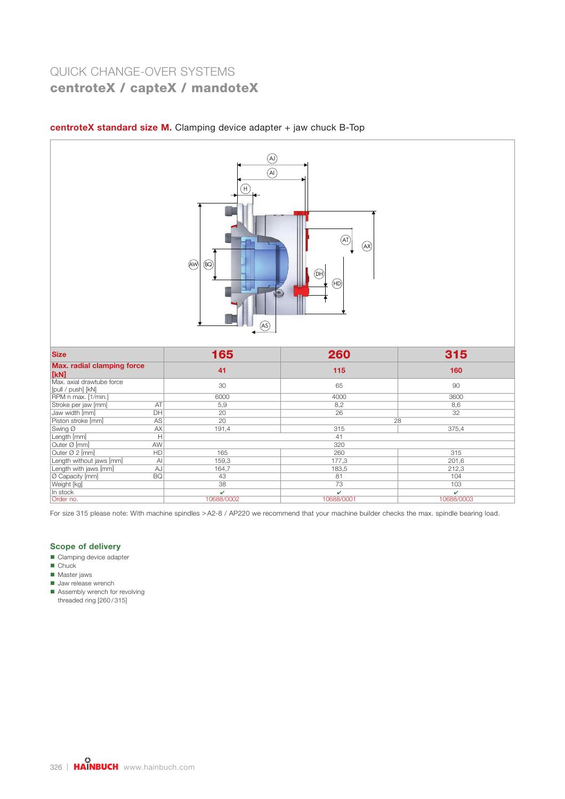

#### centroteX standard size M. Clamping device adapter  $+$  jaw chuck B-Top

| <b>Size</b>                                     |              | 165        | 260        | 315        |  |  |  |
|-------------------------------------------------|--------------|------------|------------|------------|--|--|--|
| Max. radial clamping force<br>[kN]              |              | 41         | 115        | 160        |  |  |  |
| Max. axial drawtube force<br>[pull / push] [kN] |              | 30         | 65         | 90         |  |  |  |
| RPM n max. [1/min.]                             |              | 6000       | 4000       | 3600       |  |  |  |
| Stroke per jaw [mm]                             | AT           | 5,9        | 8,2        | 8,6        |  |  |  |
| Jaw width [mm]                                  | DH           | 20         | 26         | 32         |  |  |  |
| Piston stroke [mm]                              | AS           | 20         | 28         |            |  |  |  |
| Swing Ø                                         | AX           | 191,4      | 315        | 375,4      |  |  |  |
| Length [mm]                                     | Н            |            | 41         |            |  |  |  |
| Outer Ø [mm]                                    | <b>AW</b>    |            | 320        |            |  |  |  |
| Outer Ø 2 [mm]                                  | HD           | 165        | 260        | 315        |  |  |  |
| Length without jaws [mm]                        | $\mathsf{A}$ | 159,3      | 177,3      | 201,6      |  |  |  |
| Length with jaws [mm]                           | AJ           | 164,7      | 183,5      | 212,3      |  |  |  |
| O Capacity [mm]                                 | BQ           | 43         | 81         | 104        |  |  |  |
| Weight [kg]                                     |              | 38         | 73         | 103        |  |  |  |
| In stock                                        |              | v          | v          | v          |  |  |  |
| Order no.                                       |              | 10688/0002 | 10688/0001 | 10688/0003 |  |  |  |

For size 315 please note: With machine spindles > A2-8 / AP220 we recommend that your machine builder checks the max. spindle bearing load.

#### Scope of delivery

- Clamping device adapter
- **Chuck**
- **Master jaws**
- **Jaw release wrench**
- Assembly wrench for revolving threaded ring [260 / 315]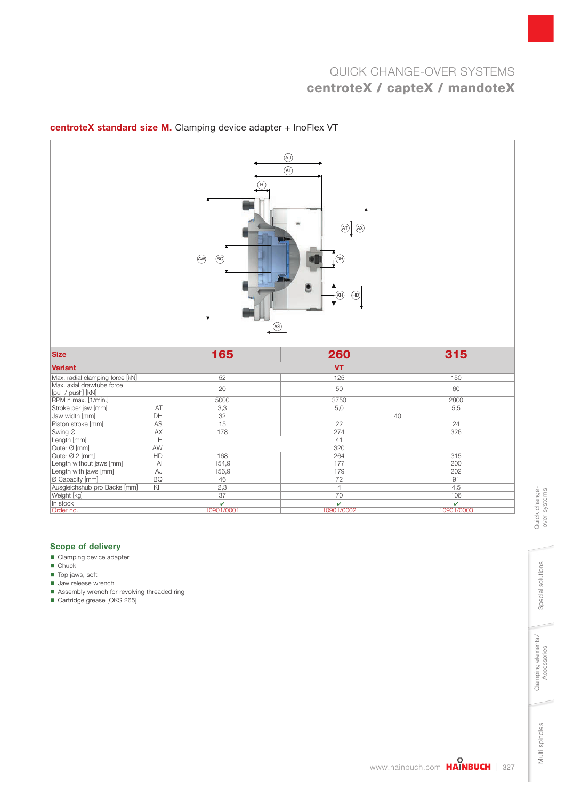

### centroteX standard size M. Clamping device adapter + InoFlex VT

| <b>Size</b>                                     |              | 165        | 260            | 315        |
|-------------------------------------------------|--------------|------------|----------------|------------|
| <b>Variant</b>                                  |              |            | <b>VT</b>      |            |
| Max. radial clamping force [kN]                 |              | 52         | 125            | 150        |
| Max. axial drawtube force<br>[pull / push] [kN] |              | 20         | 50             | 60         |
| RPM n max. [1/min.]                             |              | 5000       | 3750           | 2800       |
| Stroke per jaw [mm]                             | AT           | 3,3        | 5,0            | 5,5        |
| Jaw width [mm]                                  | DH           | 32         |                | 40         |
| Piston stroke [mm]                              | AS           | 15         | 22             | 24         |
| Swing Ø                                         | AX           | 178        | 274            | 326        |
| Length [mm]                                     | Н            |            | 41             |            |
| Outer Ø [mm]                                    | AW           |            | 320            |            |
| Outer Ø 2 [mm]                                  | HD.          | 168        | 264            | 315        |
| Length without jaws [mm]                        | $\mathsf{A}$ | 154,9      | 177            | 200        |
| Length with jaws [mm]                           | AJ           | 156,9      | 179            | 202        |
| Ø Capacity [mm]                                 | <b>BQ</b>    | 46         | 72             | 91         |
| Ausgleichshub pro Backe [mm]                    | KH.          | 2,3        | $\overline{4}$ | 4,5        |
| Weight [kg]                                     |              | 37         | 70             | 106        |
| In stock                                        |              | v          | ✓              | v          |
| Order no.                                       |              | 10901/0001 | 10901/0002     | 10901/0003 |

#### Scope of delivery

- Clamping device adapter
- **Chuck**
- **Top jaws, soft**
- **Jaw release wrench**
- Assembly wrench for revolving threaded ring
- Cartridge grease [OKS 265]

Multi spindles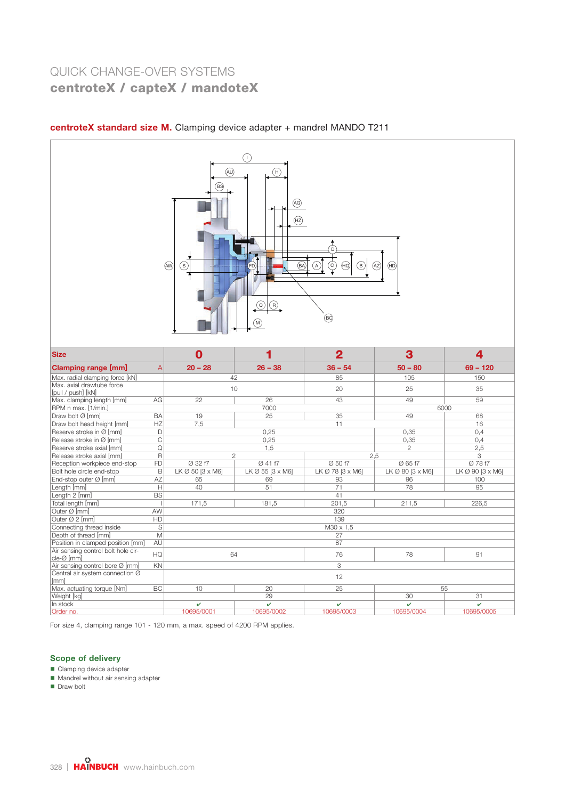### AW  $\bigodot$  $\odot$ D  $\bigoplus$  $\binom{2}{N}$  $\bigcirc$   $\bigcirc$  $\odot$ BS S FD HD  $\bigcirc$  $\bigcircled{\!\!\!\!\!\!G}$  $(H<sub>2</sub>)$  $\overline{(\mathsf{BA})}$   $\overline{(\mathsf{A})}$   $\overline{(\mathsf{C})}$   $\overline{(\mathsf{HQ})}$   $\overline{(\mathsf{B})}$   $\overline{(\mathsf{AZ})}$

| centroteX standard size M. Clamping device adapter + mandrel MANDO T211 |  |  |  |  |
|-------------------------------------------------------------------------|--|--|--|--|
|                                                                         |  |  |  |  |

| <b>Size</b>                                      |           | Λ                |                  | $\overline{2}$   | 3                | 4                |
|--------------------------------------------------|-----------|------------------|------------------|------------------|------------------|------------------|
| Clamping range [mm]                              | A         | $20 - 28$        | $26 - 38$        | $36 - 54$        | $50 - 80$        | $69 - 120$       |
| Max. radial clamping force [kN]                  |           |                  | 42               | 85               | 105              | 150              |
| Max, axial drawtube force<br>[pull / push] [kN]  |           |                  | 10               | 20               | 25               | 35               |
| Max. clamping length [mm]                        | AG        | 22               | 26               | 43               | 49               | 59               |
| RPM n max. [1/min.]                              |           |                  | 7000             |                  |                  | 6000             |
| Draw bolt Ø [mm]                                 | <b>BA</b> | 19               | 25               | 35               | 49               | 68               |
| Draw bolt head height [mm]                       | HZ        | 7,5              |                  | 11               |                  | 16               |
| Reserve stroke in Ø [mm]                         | D         |                  | 0.25             |                  | 0.35             | 0.4              |
| Release stroke in $\varnothing$ [mm]             | C         |                  | 0,25             |                  | 0,35             | 0,4              |
| Reserve stroke axial [mm]                        | Q         |                  | 1,5              |                  | $\mathfrak{D}$   | 2,5              |
| Release stroke axial [mm]                        | R         |                  | $\overline{2}$   |                  | 2.5              | 3                |
| Reception workpiece end-stop                     | <b>FD</b> | Ø 32 f7          | Ø 41 f7          | Ø 50 f7          | Ø 65 f7          | Ø 78 f7          |
| Bolt hole circle end-stop                        | B         | LK Ø 50 [3 x M6] | LK Ø 55 [3 x M6] | LK Ø 78 [3 x M6] | LK Ø 80 [3 x M6] | LK Ø 90 [3 x M6] |
| End-stop outer Ø [mm]                            | AZ        | 65               | 69               | 93               | 96               | 100              |
| Length [mm]                                      | Н         | 40               | 51               | 71               | 78               | 95               |
| Length 2 [mm]                                    | <b>BS</b> |                  |                  | 41               |                  |                  |
| Total length [mm]                                |           | 171,5            | 181.5            | 201.5            | 211,5            | 226.5            |
| Outer Ø [mm]                                     | AW        |                  |                  | 320              |                  |                  |
| Outer Ø 2 [mm]                                   | HD        |                  |                  | 139              |                  |                  |
| Connecting thread inside                         | S         |                  |                  | M30 x 1,5        |                  |                  |
| Depth of thread [mm]                             | M         |                  |                  | 27               |                  |                  |
| Position in clamped position [mm]                | AU        |                  |                  | 87               |                  |                  |
| Air sensing control bolt hole cir-<br>cle-Ø [mm] | HO        |                  | 64               | 76               | 78               | 91               |
| Air sensing control bore Ø [mm]                  | KN        |                  |                  | 3                |                  |                  |
| Central air system connection Ø<br>[mm]          |           |                  |                  | 12               |                  |                  |
| Max. actuating torque [Nm]                       | <b>BC</b> | 10               | 20               | 25               |                  | 55               |
| Weight [kg]                                      |           |                  | 29               |                  | 30               | 31               |
| In stock                                         |           | v                | v                | v                | ✓                | ✓                |
| Order no.                                        |           | 10695/0001       | 10695/0002       | 10695/0003       | 10695/0004       | 10695/0005       |

For size 4, clamping range 101 - 120 mm, a max. speed of 4200 RPM applies.

### Scope of delivery

- Clamping device adapter
- **Mandrel without air sensing adapter**
- Draw bolt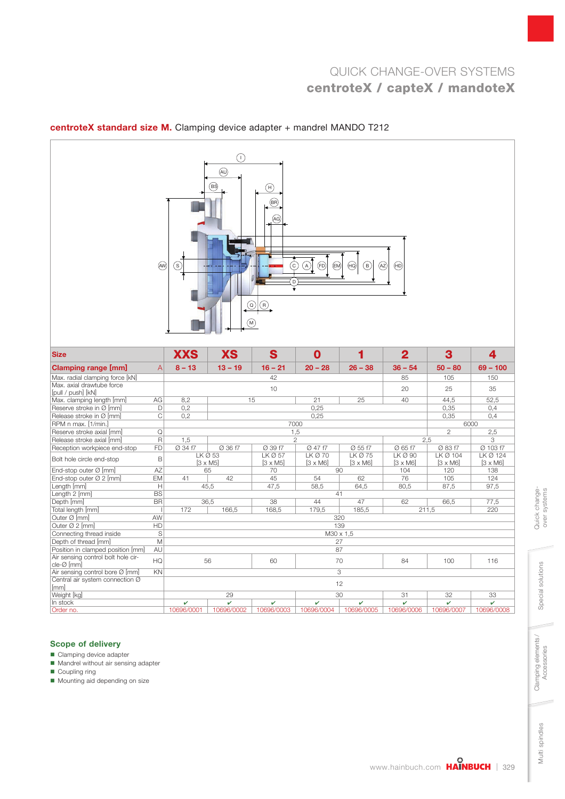# $AW \circledcirc$   $\qquad \qquad \bullet$  $\bigcirc$ D  $\binom{M}{k}$  $\Omega$   $\Omega$  $\odot$ BS  $\odot$   $\odot$   $\odot$   $\odot$   $\odot$   $\odot$   $\odot$   $\odot$   $\odot$   $\odot$   $\odot$  $\circledR$ AG  $\bigcirc$  $\binom{B}{B}$

| <b>Size</b>                        |                         | <b>XXS</b>      | <b>XS</b>  | S                  | 0               |                 | $\overline{2}$  | 3               | 4               |
|------------------------------------|-------------------------|-----------------|------------|--------------------|-----------------|-----------------|-----------------|-----------------|-----------------|
| Clamping range [mm]                | A                       | $8 - 13$        | $13 - 19$  | $16 - 21$          | $20 - 28$       | $26 - 38$       | $36 - 54$       | $50 - 80$       | $69 - 100$      |
| Max. radial clamping force [kN]    |                         |                 |            | 42                 |                 |                 | 85              | 105             | 150             |
| Max. axial drawtube force          |                         |                 |            | 10                 |                 |                 | 20              | 25              | 35              |
| [pull / push] [kN]                 |                         |                 |            |                    |                 |                 |                 |                 |                 |
| Max. clamping length [mm]          | AG                      | 8.2             |            | 15                 | 21              | 25              | 40              | 44,5            | 52,5            |
| Reserve stroke in Ø [mm]           | D                       | 0.2             |            |                    | 0.25            |                 |                 | 0,35            | 0,4             |
| Release stroke in Ø [mm]           | C                       | 0.2             |            |                    | 0,25            |                 |                 | 0.35            | 0.4             |
| RPM n max. [1/min.]                |                         |                 |            |                    | 7000            |                 |                 |                 | 6000            |
| Reserve stroke axial [mm]          | Q                       |                 |            |                    | 1,5             |                 |                 | $\mathbf{2}$    | 2,5             |
| Release stroke axial [mm]          | $\overline{\mathsf{R}}$ | 1,5             |            |                    | $\overline{2}$  |                 |                 | 2.5             | 3               |
| Reception workpiece end-stop       | <b>FD</b>               | Ø 34 f7         | Ø 36 f7    | Ø 39 f7            | Ø 47 f7         | Ø 55 f7         | Ø 65 f7         | Ø 83 f7         | Ø 103 f7        |
| Bolt hole circle end-stop          | B                       |                 | LKQ53      | LK <sub>Ø</sub> 57 | $LKØ$ 70        | $LKØ$ 75        | $LK$ Ø 90       | $LKØ$ 104       | LK Ø 124        |
|                                    |                         | $[3 \times M5]$ |            | $[3 \times M5]$    | $[3 \times M6]$ | $[3 \times M6]$ | $[3 \times M6]$ | $[3 \times M6]$ | $[3 \times M6]$ |
| End-stop outer Ø [mm]              | AZ                      |                 | 65         | 70                 | 90              |                 | 104             | 120             | 138             |
| End-stop outer Ø 2 [mm]            | <b>EM</b>               | 41              | 42         | 45                 | 54              | 62              | 76              | 105             | 124             |
| Length [mm]                        | H                       | 45.5            |            | 47,5               | 58.5            | 64.5            | 80,5            | 87,5            | 97,5            |
| Length 2 [mm]                      | <b>BS</b>               |                 |            |                    | 41              |                 |                 |                 |                 |
| Depth [mm]                         | <b>BR</b>               | 36,5            |            | 38                 | 44              | 47              | 62              | 66,5            | 77,5            |
| Total length [mm]                  |                         | 172             | 166,5      | 168,5              | 179,5           | 185,5           |                 | 211,5           | 220             |
| Outer Ø [mm]                       | AW                      |                 |            |                    |                 | 320             |                 |                 |                 |
| Outer Ø 2 [mm]                     | HD                      |                 |            |                    |                 | 139             |                 |                 |                 |
| Connecting thread inside           | S                       |                 |            |                    |                 | M30 x 1.5       |                 |                 |                 |
| Depth of thread [mm]               | M                       |                 |            |                    |                 | 27              |                 |                 |                 |
| Position in clamped position [mm]  | AU                      |                 |            |                    |                 | 87              |                 |                 |                 |
| Air sensing control bolt hole cir- | HQ                      |                 | 56         | 60                 |                 | 70              | 84              | 100             | 116             |
| cle-Ø [mm]                         |                         |                 |            |                    |                 |                 |                 |                 |                 |
| Air sensing control bore Ø [mm]    | KN                      |                 |            |                    |                 | 3               |                 |                 |                 |
| Central air system connection Ø    |                         |                 |            |                    |                 | 12              |                 |                 |                 |
| [mm]                               |                         |                 |            |                    |                 |                 |                 |                 |                 |
| Weight [kg]                        |                         |                 | 29         |                    |                 | 30              | 31              | 32              | 33              |
| In stock                           |                         | ✓               | v          | v                  | v               | v               | v               | V               | v               |
| Order no.                          |                         | 10696/0001      | 10696/0002 | 10696/0003         | 10696/0004      | 10696/0005      | 10696/0006      | 10696/0007      | 10696/0008      |

### centroteX standard size M. Clamping device adapter + mandrel MANDO T212

### Scope of delivery

- Clamping device adapter
- Mandrel without air sensing adapter

Coupling ring

■ Mounting aid depending on size

Multi spindles